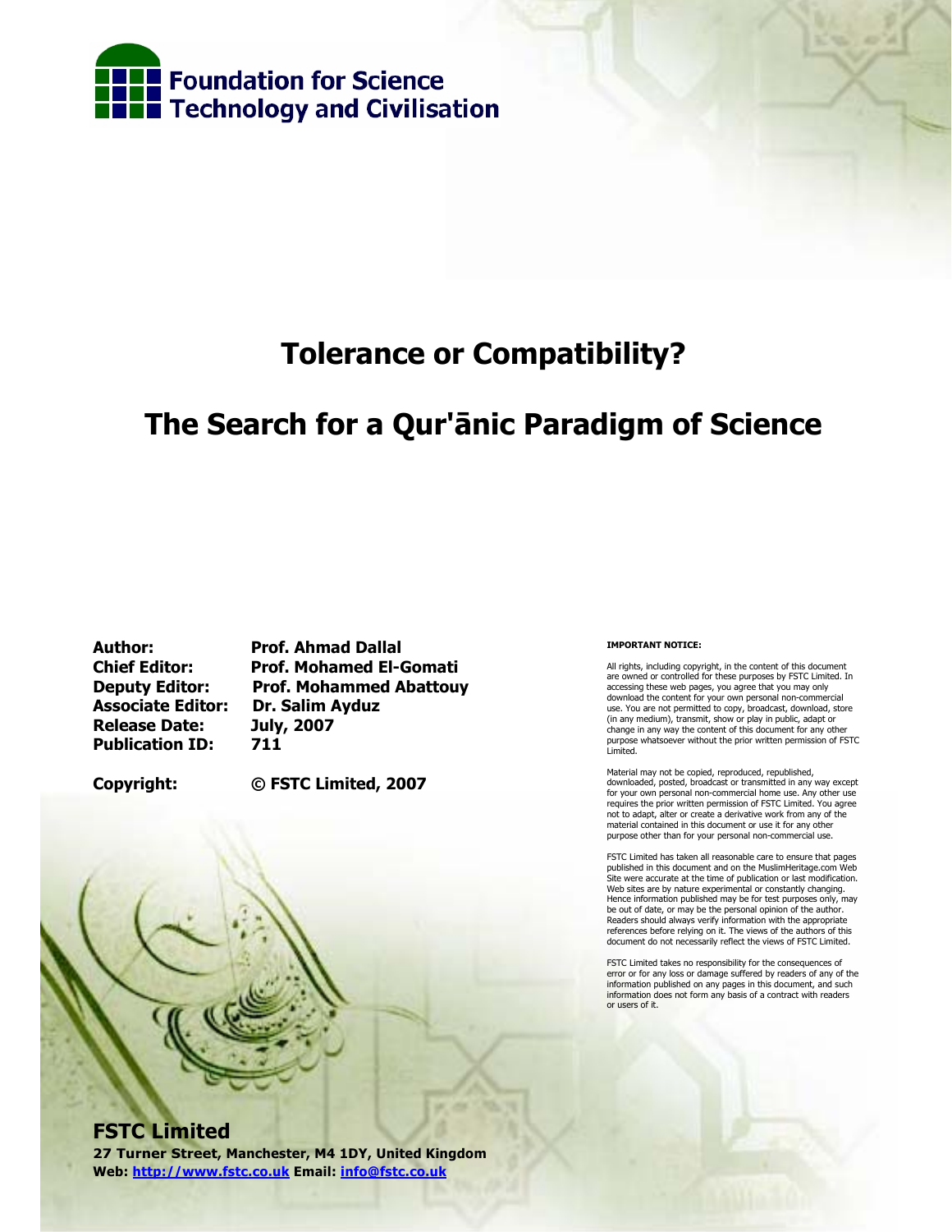

## **Tolerance or Compatibility?**

## **The Search for a Qur'ānic Paradigm of Science**

**Associate Editor: Dr. Salim Ayduz Release Date: July, 2007 Publication ID: 711** 

**Author: Prof. Ahmad Dallal Chief Editor: Prof. Mohamed El-Gomati Deputy Editor: Prof. Mohammed Abattouy** 

**Copyright: © FSTC Limited, 2007** 



### **FSTC Limited**

**27 Turner Street, Manchester, M4 1DY, United Kingdom Web: http://www.fstc.co.uk Email: info@fstc.co.uk**

#### **IMPORTANT NOTICE:**

All rights, including copyright, in the content of this document are owned or controlled for these purposes by FSTC Limited. In accessing these web pages, you agree that you may only download the content for your own personal non-commercial use. You are not permitted to copy, broadcast, download, store (in any medium), transmit, show or play in public, adapt or change in any way the content of this document for any other purpose whatsoever without the prior written permission of FSTC Limited.

Material may not be copied, reproduced, republished, downloaded, posted, broadcast or transmitted in any way except for your own personal non-commercial home use. Any other use requires the prior written permission of FSTC Limited. You agree not to adapt, alter or create a derivative work from any of the material contained in this document or use it for any other purpose other than for your personal non-commercial use.

FSTC Limited has taken all reasonable care to ensure that pages published in this document and on the MuslimHeritage.com Web Site were accurate at the time of publication or last modification. Web sites are by nature experimental or constantly changing. Hence information published may be for test purposes only, may be out of date, or may be the personal opinion of the author. Readers should always verify information with the appropriate references before relying on it. The views of the authors of this document do not necessarily reflect the views of FSTC Limited.

FSTC Limited takes no responsibility for the consequences of error or for any loss or damage suffered by readers of any of the information published on any pages in this document, and such information does not form any basis of a contract with readers or users of it.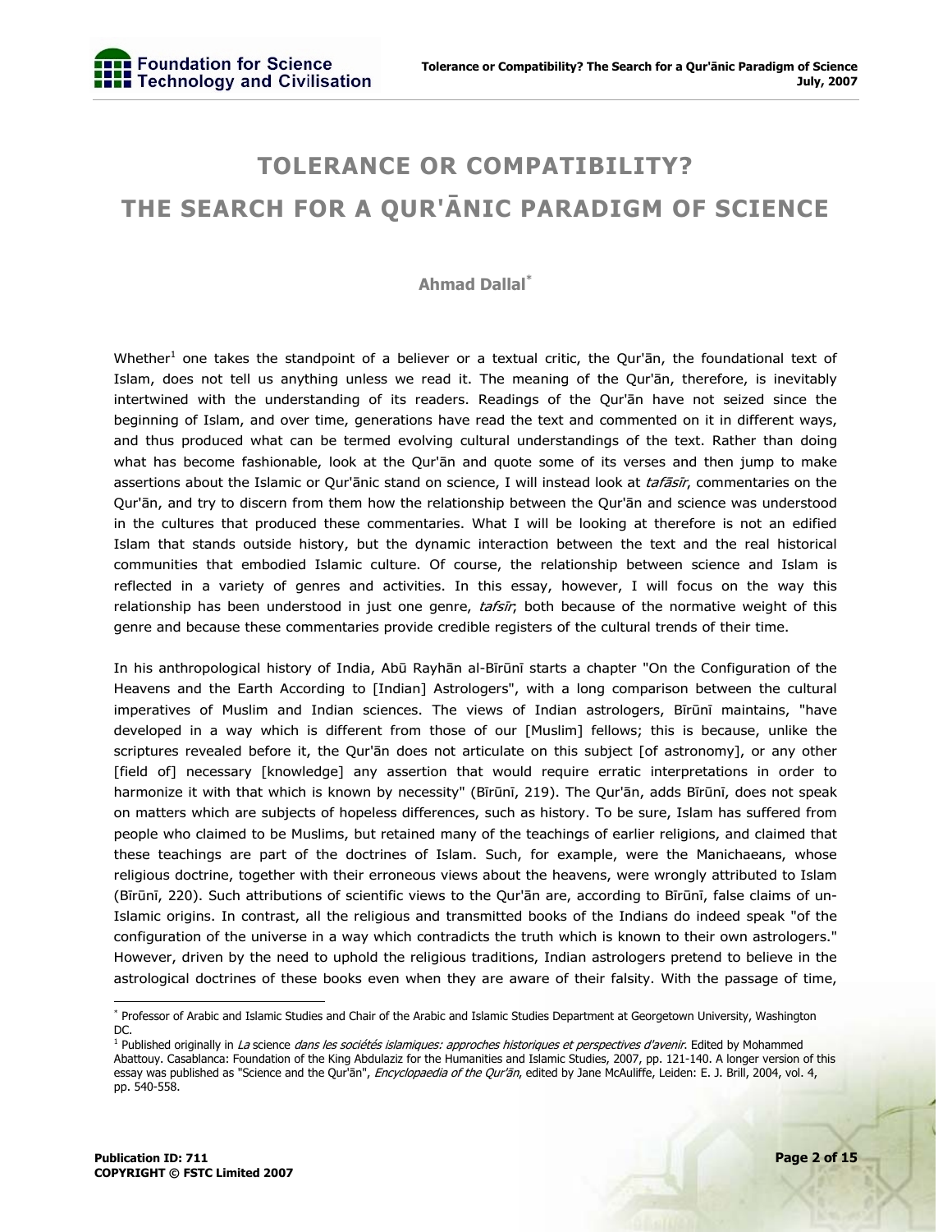# **TOLERANCE OR COMPATIBILITY? THE SEARCH FOR A QUR'ĀNIC PARADIGM OF SCIENCE**

### **Ahmad Dallal\***

Whether<sup>1</sup> one takes the standpoint of a believer or a textual critic, the Qur'ān, the foundational text of Islam, does not tell us anything unless we read it. The meaning of the Qur'ān, therefore, is inevitably intertwined with the understanding of its readers. Readings of the Qur'ān have not seized since the beginning of Islam, and over time, generations have read the text and commented on it in different ways, and thus produced what can be termed evolving cultural understandings of the text. Rather than doing what has become fashionable, look at the Qur'ān and quote some of its verses and then jump to make assertions about the Islamic or Qur'ānic stand on science, I will instead look at tafāsīr, commentaries on the Qur'ān, and try to discern from them how the relationship between the Qur'ān and science was understood in the cultures that produced these commentaries. What I will be looking at therefore is not an edified Islam that stands outside history, but the dynamic interaction between the text and the real historical communities that embodied Islamic culture. Of course, the relationship between science and Islam is reflected in a variety of genres and activities. In this essay, however, I will focus on the way this relationship has been understood in just one genre, tafsir; both because of the normative weight of this genre and because these commentaries provide credible registers of the cultural trends of their time.

In his anthropological history of India, Abū Rayhān al-Bīrūnī starts a chapter "On the Configuration of the Heavens and the Earth According to [Indian] Astrologers", with a long comparison between the cultural imperatives of Muslim and Indian sciences. The views of Indian astrologers, Bīrūnī maintains, "have developed in a way which is different from those of our [Muslim] fellows; this is because, unlike the scriptures revealed before it, the Qur'ān does not articulate on this subject [of astronomy], or any other [field of] necessary [knowledge] any assertion that would require erratic interpretations in order to harmonize it with that which is known by necessity" (Bīrūnī, 219). The Qur'ān, adds Bīrūnī, does not speak on matters which are subjects of hopeless differences, such as history. To be sure, Islam has suffered from people who claimed to be Muslims, but retained many of the teachings of earlier religions, and claimed that these teachings are part of the doctrines of Islam. Such, for example, were the Manichaeans, whose religious doctrine, together with their erroneous views about the heavens, were wrongly attributed to Islam (Bīrūnī, 220). Such attributions of scientific views to the Qur'ān are, according to Bīrūnī, false claims of un-Islamic origins. In contrast, all the religious and transmitted books of the Indians do indeed speak "of the configuration of the universe in a way which contradicts the truth which is known to their own astrologers." However, driven by the need to uphold the religious traditions, Indian astrologers pretend to believe in the astrological doctrines of these books even when they are aware of their falsity. With the passage of time,

<sup>-</sup>\* Professor of Arabic and Islamic Studies and Chair of the Arabic and Islamic Studies Department at Georgetown University, Washington DC.

<sup>&</sup>lt;sup>1</sup> Published originally in *La* science *dans les sociétés islamiques: approches historiques et perspectives d'avenir*. Edited by Mohammed Abattouy. Casablanca: Foundation of the King Abdulaziz for the Humanities and Islamic Studies, 2007, pp. 121-140. A longer version of this essay was published as "Science and the Our'ān", *Encyclopaedia of the Our'ān*, edited by Jane McAuliffe, Leiden: E. J. Brill, 2004, vol. 4, pp. 540-558.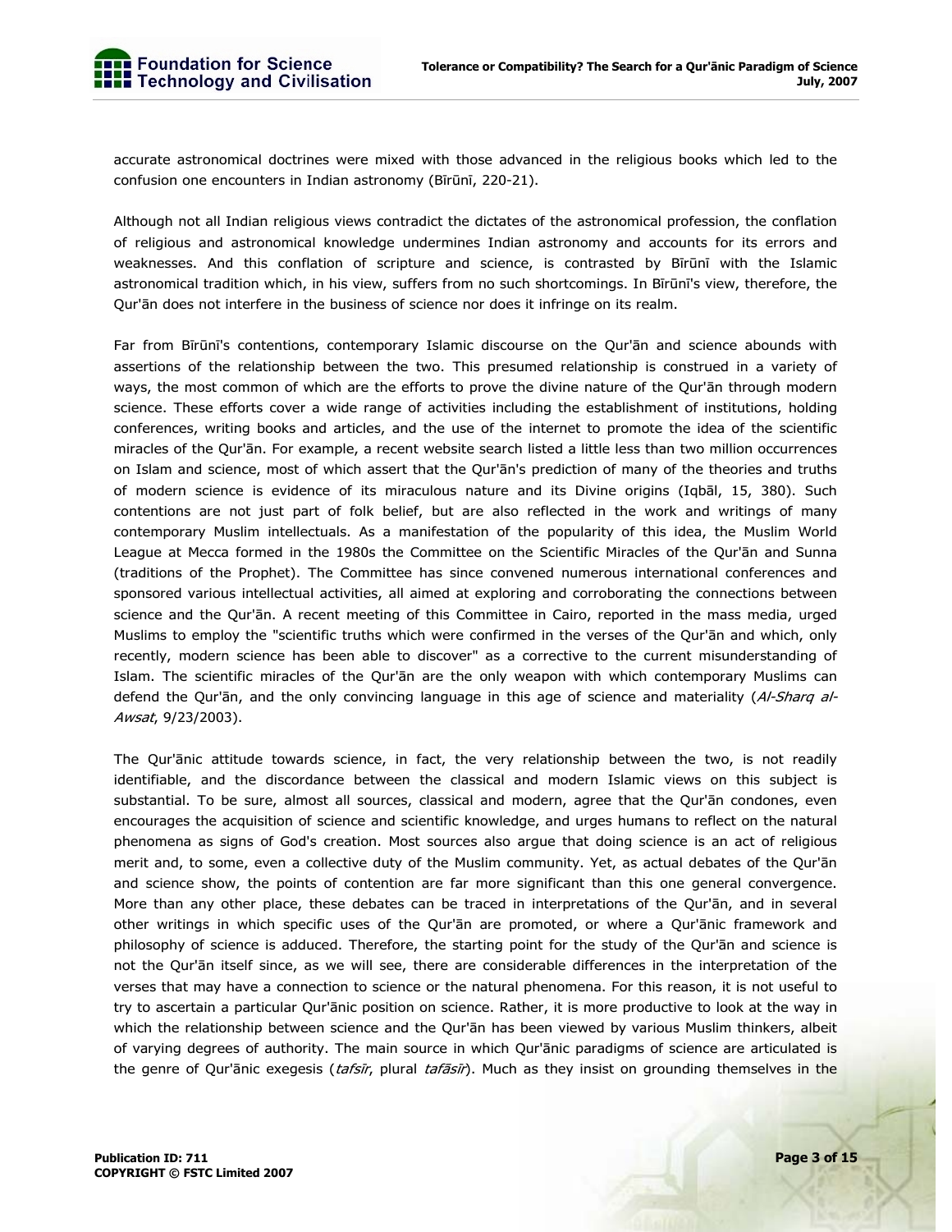

accurate astronomical doctrines were mixed with those advanced in the religious books which led to the confusion one encounters in Indian astronomy (Bīrūnī, 220-21).

Although not all Indian religious views contradict the dictates of the astronomical profession, the conflation of religious and astronomical knowledge undermines Indian astronomy and accounts for its errors and weaknesses. And this conflation of scripture and science, is contrasted by Bīrūnī with the Islamic astronomical tradition which, in his view, suffers from no such shortcomings. In Bīrūnī's view, therefore, the Qur'ān does not interfere in the business of science nor does it infringe on its realm.

Far from Bīrūnī's contentions, contemporary Islamic discourse on the Qur'ān and science abounds with assertions of the relationship between the two. This presumed relationship is construed in a variety of ways, the most common of which are the efforts to prove the divine nature of the Qur'ān through modern science. These efforts cover a wide range of activities including the establishment of institutions, holding conferences, writing books and articles, and the use of the internet to promote the idea of the scientific miracles of the Qur'ān. For example, a recent website search listed a little less than two million occurrences on Islam and science, most of which assert that the Qur'ān's prediction of many of the theories and truths of modern science is evidence of its miraculous nature and its Divine origins (Iqbāl, 15, 380). Such contentions are not just part of folk belief, but are also reflected in the work and writings of many contemporary Muslim intellectuals. As a manifestation of the popularity of this idea, the Muslim World League at Mecca formed in the 1980s the Committee on the Scientific Miracles of the Qur'ān and Sunna (traditions of the Prophet). The Committee has since convened numerous international conferences and sponsored various intellectual activities, all aimed at exploring and corroborating the connections between science and the Qur'ān. A recent meeting of this Committee in Cairo, reported in the mass media, urged Muslims to employ the "scientific truths which were confirmed in the verses of the Qur'ān and which, only recently, modern science has been able to discover" as a corrective to the current misunderstanding of Islam. The scientific miracles of the Qur'ān are the only weapon with which contemporary Muslims can defend the Qur'ān, and the only convincing language in this age of science and materiality (Al-Sharq al-Awsat, 9/23/2003).

The Qur'ānic attitude towards science, in fact, the very relationship between the two, is not readily identifiable, and the discordance between the classical and modern Islamic views on this subject is substantial. To be sure, almost all sources, classical and modern, agree that the Qur'ān condones, even encourages the acquisition of science and scientific knowledge, and urges humans to reflect on the natural phenomena as signs of God's creation. Most sources also argue that doing science is an act of religious merit and, to some, even a collective duty of the Muslim community. Yet, as actual debates of the Qur'ān and science show, the points of contention are far more significant than this one general convergence. More than any other place, these debates can be traced in interpretations of the Qur'ān, and in several other writings in which specific uses of the Qur'ān are promoted, or where a Qur'ānic framework and philosophy of science is adduced. Therefore, the starting point for the study of the Qur'ān and science is not the Qur'ān itself since, as we will see, there are considerable differences in the interpretation of the verses that may have a connection to science or the natural phenomena. For this reason, it is not useful to try to ascertain a particular Qur'ānic position on science. Rather, it is more productive to look at the way in which the relationship between science and the Qur'ān has been viewed by various Muslim thinkers, albeit of varying degrees of authority. The main source in which Qur'ānic paradigms of science are articulated is the genre of Qur'ānic exegesis (tafsīr, plural tafāsīr). Much as they insist on grounding themselves in the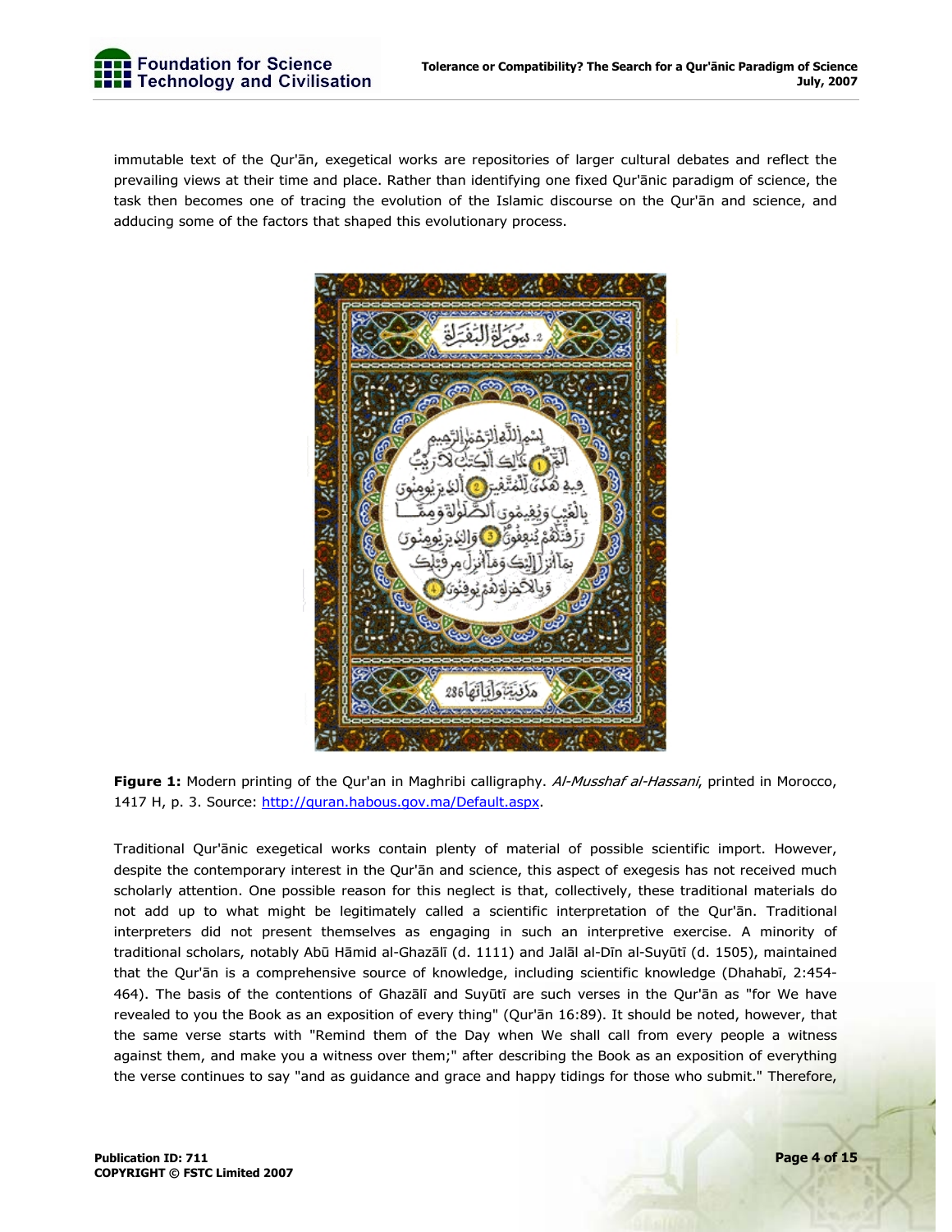immutable text of the Qur'ān, exegetical works are repositories of larger cultural debates and reflect the prevailing views at their time and place. Rather than identifying one fixed Qur'ānic paradigm of science, the task then becomes one of tracing the evolution of the Islamic discourse on the Qur'ān and science, and adducing some of the factors that shaped this evolutionary process.



**Figure 1:** Modern printing of the Qur'an in Maghribi calligraphy. Al-Musshaf al-Hassani, printed in Morocco, 1417 H, p. 3. Source: http://quran.habous.gov.ma/Default.aspx.

Traditional Qur'ānic exegetical works contain plenty of material of possible scientific import. However, despite the contemporary interest in the Qur'ān and science, this aspect of exegesis has not received much scholarly attention. One possible reason for this neglect is that, collectively, these traditional materials do not add up to what might be legitimately called a scientific interpretation of the Qur'ān. Traditional interpreters did not present themselves as engaging in such an interpretive exercise. A minority of traditional scholars, notably Abū Hāmid al-Ghazālī (d. 1111) and Jalāl al-Dīn al-Suyūtī (d. 1505), maintained that the Qur'ān is a comprehensive source of knowledge, including scientific knowledge (Dhahabī, 2:454- 464). The basis of the contentions of Ghazālī and Suyūtī are such verses in the Qur'ān as "for We have revealed to you the Book as an exposition of every thing" (Qur'ān 16:89). It should be noted, however, that the same verse starts with "Remind them of the Day when We shall call from every people a witness against them, and make you a witness over them;" after describing the Book as an exposition of everything the verse continues to say "and as guidance and grace and happy tidings for those who submit." Therefore,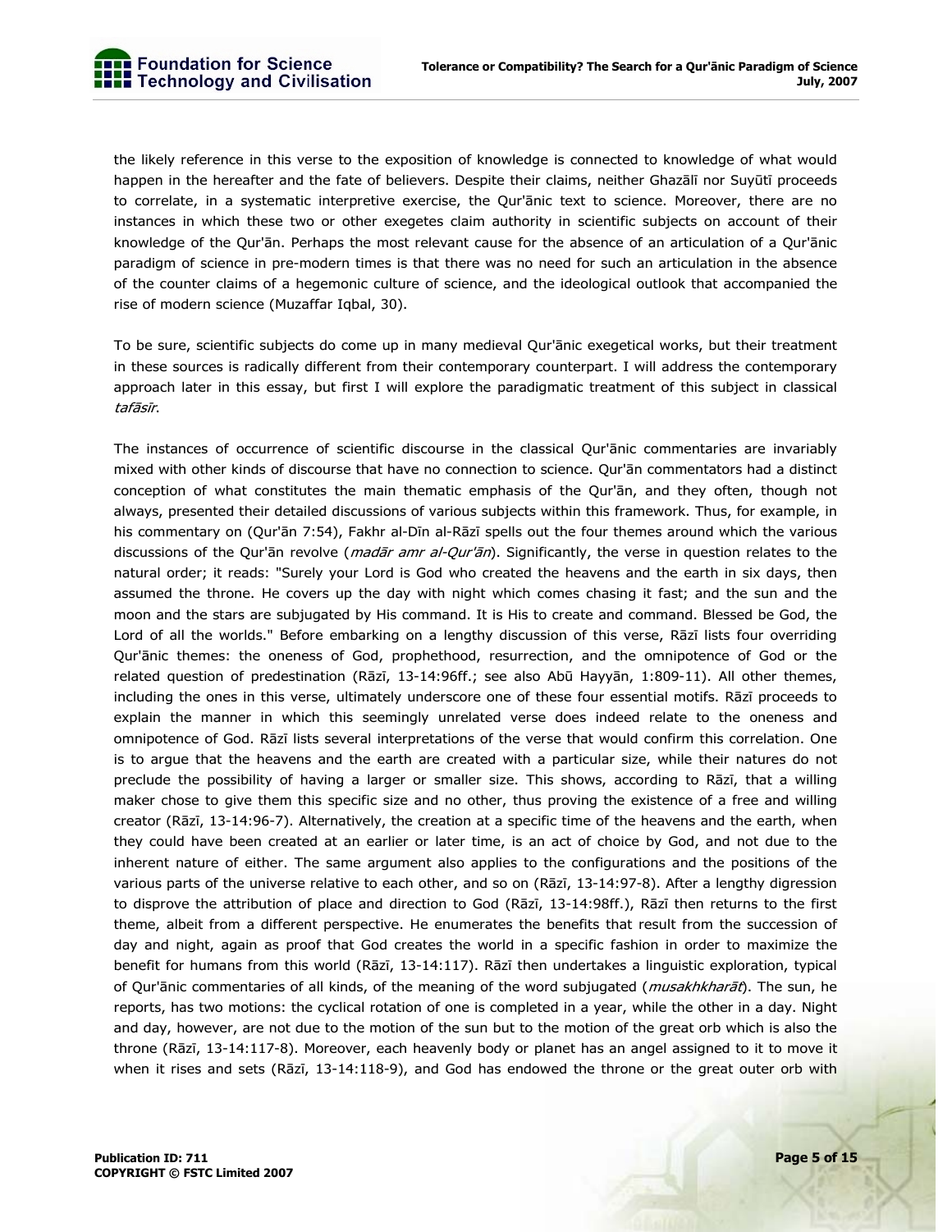

the likely reference in this verse to the exposition of knowledge is connected to knowledge of what would happen in the hereafter and the fate of believers. Despite their claims, neither Ghazālī nor Suyūtī proceeds to correlate, in a systematic interpretive exercise, the Qur'ānic text to science. Moreover, there are no instances in which these two or other exegetes claim authority in scientific subjects on account of their knowledge of the Qur'ān. Perhaps the most relevant cause for the absence of an articulation of a Qur'ānic paradigm of science in pre-modern times is that there was no need for such an articulation in the absence of the counter claims of a hegemonic culture of science, and the ideological outlook that accompanied the rise of modern science (Muzaffar Iqbal, 30).

To be sure, scientific subjects do come up in many medieval Qur'ānic exegetical works, but their treatment in these sources is radically different from their contemporary counterpart. I will address the contemporary approach later in this essay, but first I will explore the paradigmatic treatment of this subject in classical tafāsīr.

The instances of occurrence of scientific discourse in the classical Qur'ānic commentaries are invariably mixed with other kinds of discourse that have no connection to science. Qur'ān commentators had a distinct conception of what constitutes the main thematic emphasis of the Qur'ān, and they often, though not always, presented their detailed discussions of various subjects within this framework. Thus, for example, in his commentary on (Qur'ān 7:54), Fakhr al-Dīn al-Rāzī spells out the four themes around which the various discussions of the Qur'ān revolve (*madār amr al-Qur'ān*). Significantly, the verse in question relates to the natural order; it reads: "Surely your Lord is God who created the heavens and the earth in six days, then assumed the throne. He covers up the day with night which comes chasing it fast; and the sun and the moon and the stars are subjugated by His command. It is His to create and command. Blessed be God, the Lord of all the worlds." Before embarking on a lengthy discussion of this verse, Rāzī lists four overriding Qur'ānic themes: the oneness of God, prophethood, resurrection, and the omnipotence of God or the related question of predestination (Rāzī, 13-14:96ff.; see also Abū Hayyān, 1:809-11). All other themes, including the ones in this verse, ultimately underscore one of these four essential motifs. Rāzī proceeds to explain the manner in which this seemingly unrelated verse does indeed relate to the oneness and omnipotence of God. Rāzī lists several interpretations of the verse that would confirm this correlation. One is to argue that the heavens and the earth are created with a particular size, while their natures do not preclude the possibility of having a larger or smaller size. This shows, according to Rāzī, that a willing maker chose to give them this specific size and no other, thus proving the existence of a free and willing creator (Rāzī, 13-14:96-7). Alternatively, the creation at a specific time of the heavens and the earth, when they could have been created at an earlier or later time, is an act of choice by God, and not due to the inherent nature of either. The same argument also applies to the configurations and the positions of the various parts of the universe relative to each other, and so on (Rāzī, 13-14:97-8). After a lengthy digression to disprove the attribution of place and direction to God (Rāzī, 13-14:98ff.), Rāzī then returns to the first theme, albeit from a different perspective. He enumerates the benefits that result from the succession of day and night, again as proof that God creates the world in a specific fashion in order to maximize the benefit for humans from this world (Rāzī, 13-14:117). Rāzī then undertakes a linguistic exploration, typical of Qur'ānic commentaries of all kinds, of the meaning of the word subjugated (*musakhkharāt*). The sun, he reports, has two motions: the cyclical rotation of one is completed in a year, while the other in a day. Night and day, however, are not due to the motion of the sun but to the motion of the great orb which is also the throne (Rāzī, 13-14:117-8). Moreover, each heavenly body or planet has an angel assigned to it to move it when it rises and sets (Rāzī, 13-14:118-9), and God has endowed the throne or the great outer orb with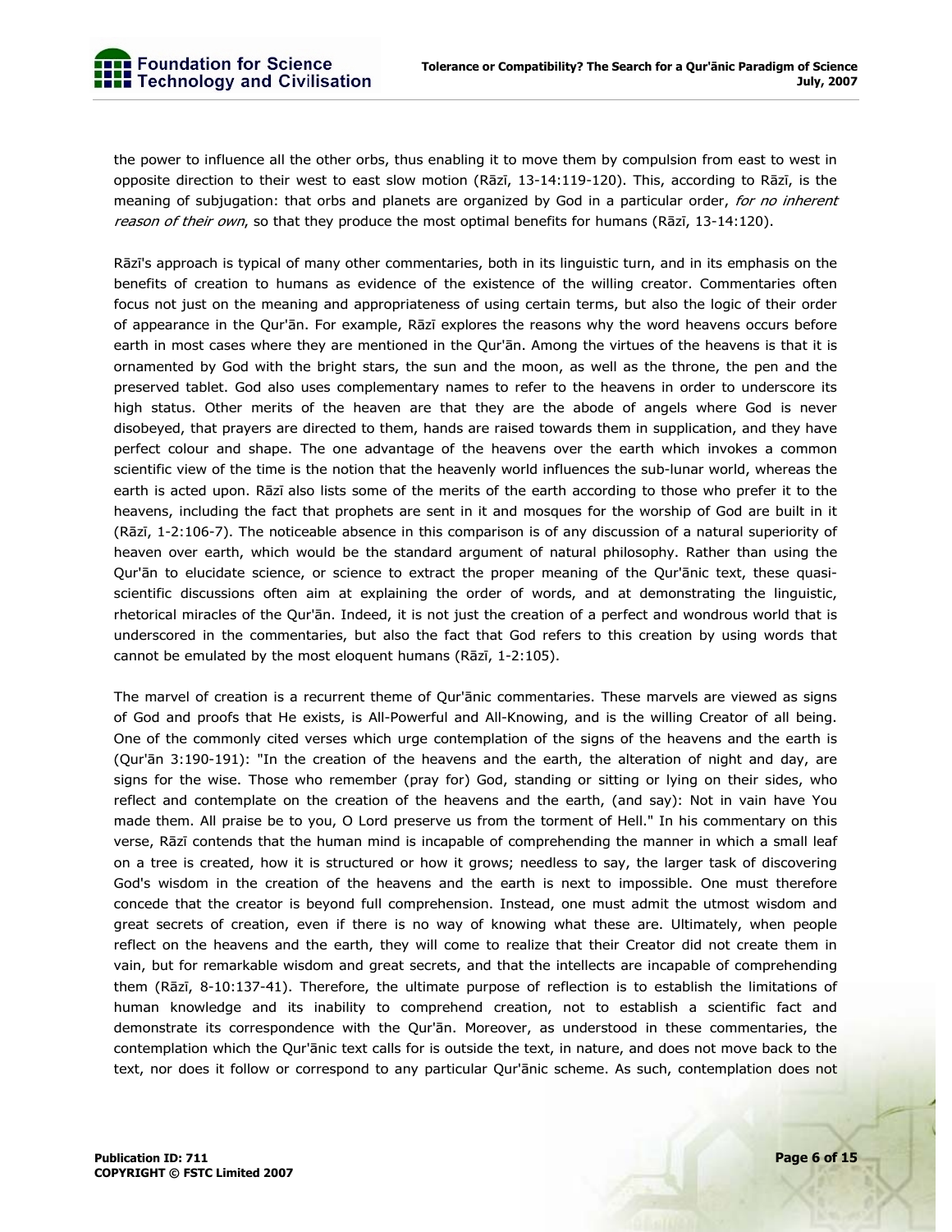

the power to influence all the other orbs, thus enabling it to move them by compulsion from east to west in opposite direction to their west to east slow motion (Rāzī, 13-14:119-120). This, according to Rāzī, is the meaning of subjugation: that orbs and planets are organized by God in a particular order, for no inherent reason of their own, so that they produce the most optimal benefits for humans (Rāzī, 13-14:120).

Rāzī's approach is typical of many other commentaries, both in its linguistic turn, and in its emphasis on the benefits of creation to humans as evidence of the existence of the willing creator. Commentaries often focus not just on the meaning and appropriateness of using certain terms, but also the logic of their order of appearance in the Qur'ān. For example, Rāzī explores the reasons why the word heavens occurs before earth in most cases where they are mentioned in the Qur'ān. Among the virtues of the heavens is that it is ornamented by God with the bright stars, the sun and the moon, as well as the throne, the pen and the preserved tablet. God also uses complementary names to refer to the heavens in order to underscore its high status. Other merits of the heaven are that they are the abode of angels where God is never disobeyed, that prayers are directed to them, hands are raised towards them in supplication, and they have perfect colour and shape. The one advantage of the heavens over the earth which invokes a common scientific view of the time is the notion that the heavenly world influences the sub-lunar world, whereas the earth is acted upon. Rāzī also lists some of the merits of the earth according to those who prefer it to the heavens, including the fact that prophets are sent in it and mosques for the worship of God are built in it (Rāzī, 1-2:106-7). The noticeable absence in this comparison is of any discussion of a natural superiority of heaven over earth, which would be the standard argument of natural philosophy. Rather than using the Qur'ān to elucidate science, or science to extract the proper meaning of the Qur'ānic text, these quasiscientific discussions often aim at explaining the order of words, and at demonstrating the linguistic, rhetorical miracles of the Qur'ān. Indeed, it is not just the creation of a perfect and wondrous world that is underscored in the commentaries, but also the fact that God refers to this creation by using words that cannot be emulated by the most eloquent humans (Rāzī, 1-2:105).

The marvel of creation is a recurrent theme of Qur'ānic commentaries. These marvels are viewed as signs of God and proofs that He exists, is All-Powerful and All-Knowing, and is the willing Creator of all being. One of the commonly cited verses which urge contemplation of the signs of the heavens and the earth is (Qur'ān 3:190-191): "In the creation of the heavens and the earth, the alteration of night and day, are signs for the wise. Those who remember (pray for) God, standing or sitting or lying on their sides, who reflect and contemplate on the creation of the heavens and the earth, (and say): Not in vain have You made them. All praise be to you, O Lord preserve us from the torment of Hell." In his commentary on this verse, Rāzī contends that the human mind is incapable of comprehending the manner in which a small leaf on a tree is created, how it is structured or how it grows; needless to say, the larger task of discovering God's wisdom in the creation of the heavens and the earth is next to impossible. One must therefore concede that the creator is beyond full comprehension. Instead, one must admit the utmost wisdom and great secrets of creation, even if there is no way of knowing what these are. Ultimately, when people reflect on the heavens and the earth, they will come to realize that their Creator did not create them in vain, but for remarkable wisdom and great secrets, and that the intellects are incapable of comprehending them (Rāzī, 8-10:137-41). Therefore, the ultimate purpose of reflection is to establish the limitations of human knowledge and its inability to comprehend creation, not to establish a scientific fact and demonstrate its correspondence with the Qur'ān. Moreover, as understood in these commentaries, the contemplation which the Qur'ānic text calls for is outside the text, in nature, and does not move back to the text, nor does it follow or correspond to any particular Qur'ānic scheme. As such, contemplation does not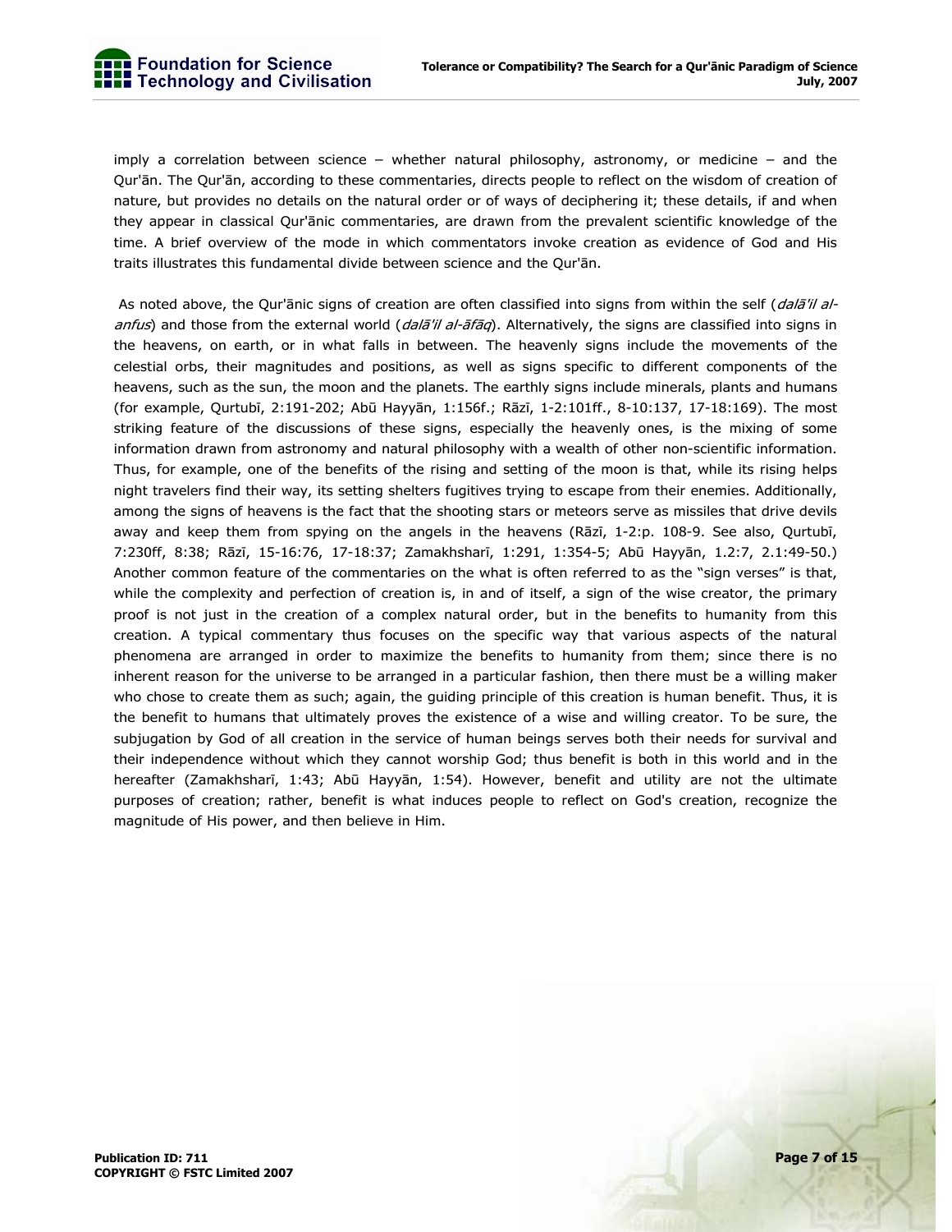

imply a correlation between science – whether natural philosophy, astronomy, or medicine – and the Qur'ān. The Qur'ān, according to these commentaries, directs people to reflect on the wisdom of creation of nature, but provides no details on the natural order or of ways of deciphering it; these details, if and when they appear in classical Qur'ānic commentaries, are drawn from the prevalent scientific knowledge of the time. A brief overview of the mode in which commentators invoke creation as evidence of God and His traits illustrates this fundamental divide between science and the Qur'ān.

As noted above, the Qur'ānic signs of creation are often classified into signs from within the self (dala'il alanfus) and those from the external world (dala'il al-ataq). Alternatively, the signs are classified into signs in the heavens, on earth, or in what falls in between. The heavenly signs include the movements of the celestial orbs, their magnitudes and positions, as well as signs specific to different components of the heavens, such as the sun, the moon and the planets. The earthly signs include minerals, plants and humans (for example, Qurtubī, 2:191-202; Abū Hayyān, 1:156f.; Rāzī, 1-2:101ff., 8-10:137, 17-18:169). The most striking feature of the discussions of these signs, especially the heavenly ones, is the mixing of some information drawn from astronomy and natural philosophy with a wealth of other non-scientific information. Thus, for example, one of the benefits of the rising and setting of the moon is that, while its rising helps night travelers find their way, its setting shelters fugitives trying to escape from their enemies. Additionally, among the signs of heavens is the fact that the shooting stars or meteors serve as missiles that drive devils away and keep them from spying on the angels in the heavens (Rāzī, 1-2:p. 108-9. See also, Qurtubī, 7:230ff, 8:38; Rāzī, 15-16:76, 17-18:37; Zamakhsharī, 1:291, 1:354-5; Abū Hayyān, 1.2:7, 2.1:49-50.) Another common feature of the commentaries on the what is often referred to as the "sign verses" is that, while the complexity and perfection of creation is, in and of itself, a sign of the wise creator, the primary proof is not just in the creation of a complex natural order, but in the benefits to humanity from this creation. A typical commentary thus focuses on the specific way that various aspects of the natural phenomena are arranged in order to maximize the benefits to humanity from them; since there is no inherent reason for the universe to be arranged in a particular fashion, then there must be a willing maker who chose to create them as such; again, the guiding principle of this creation is human benefit. Thus, it is the benefit to humans that ultimately proves the existence of a wise and willing creator. To be sure, the subjugation by God of all creation in the service of human beings serves both their needs for survival and their independence without which they cannot worship God; thus benefit is both in this world and in the hereafter (Zamakhsharī, 1:43; Abū Hayyān, 1:54). However, benefit and utility are not the ultimate purposes of creation; rather, benefit is what induces people to reflect on God's creation, recognize the magnitude of His power, and then believe in Him.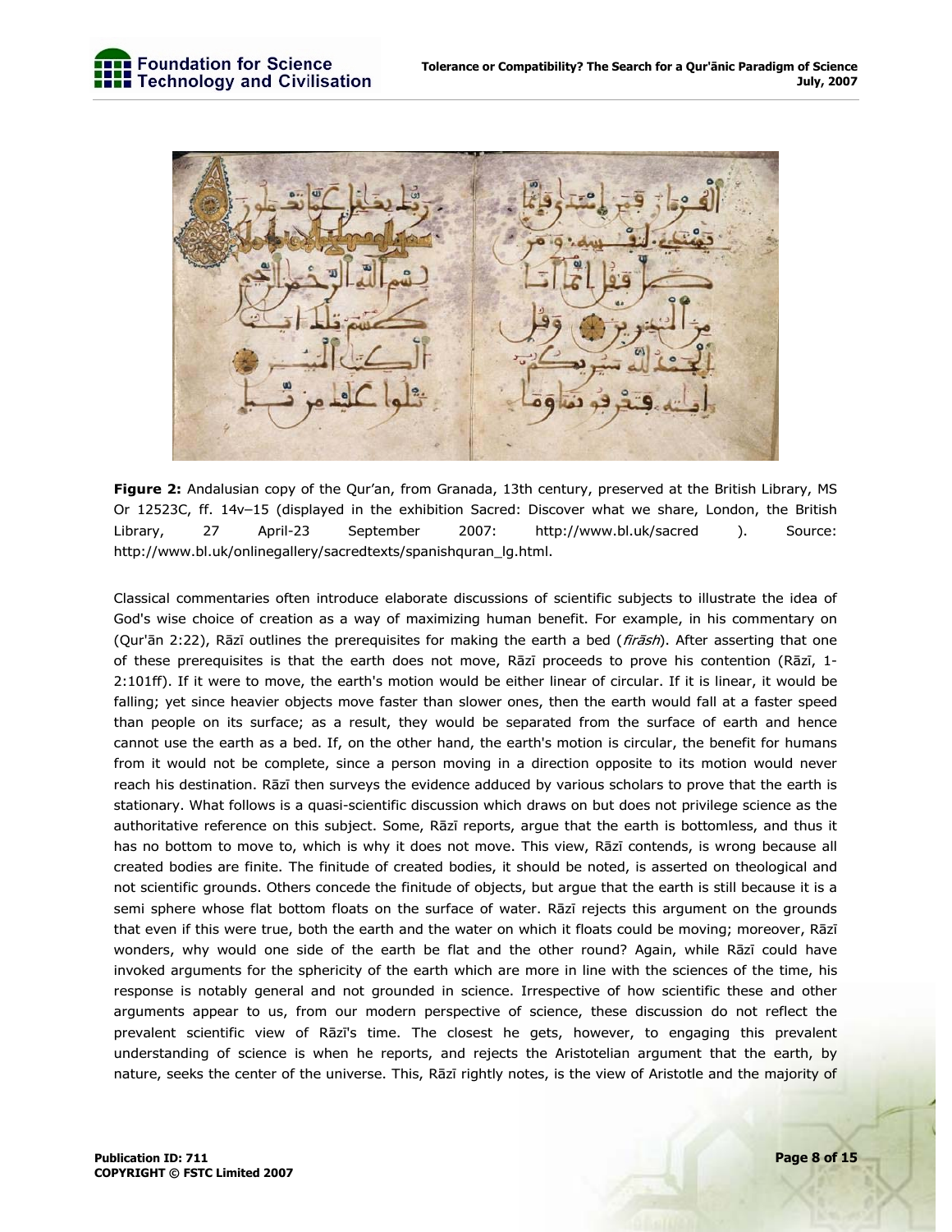

**Figure 2:** Andalusian copy of the Qur'an, from Granada, 13th century, preserved at the British Library, MS Or 12523C, ff. 14v–15 (displayed in the exhibition Sacred: Discover what we share, London, the British Library, 27 April-23 September 2007: http://www.bl.uk/sacred ). Source: http://www.bl.uk/onlinegallery/sacredtexts/spanishquran\_lg.html.

Classical commentaries often introduce elaborate discussions of scientific subjects to illustrate the idea of God's wise choice of creation as a way of maximizing human benefit. For example, in his commentary on (Qur'ān 2:22), Rāzī outlines the prerequisites for making the earth a bed (firash). After asserting that one of these prerequisites is that the earth does not move, Rāzī proceeds to prove his contention (Rāzī, 1- 2:101ff). If it were to move, the earth's motion would be either linear of circular. If it is linear, it would be falling; yet since heavier objects move faster than slower ones, then the earth would fall at a faster speed than people on its surface; as a result, they would be separated from the surface of earth and hence cannot use the earth as a bed. If, on the other hand, the earth's motion is circular, the benefit for humans from it would not be complete, since a person moving in a direction opposite to its motion would never reach his destination. Rāzī then surveys the evidence adduced by various scholars to prove that the earth is stationary. What follows is a quasi-scientific discussion which draws on but does not privilege science as the authoritative reference on this subject. Some, Rāzī reports, argue that the earth is bottomless, and thus it has no bottom to move to, which is why it does not move. This view, Rāzī contends, is wrong because all created bodies are finite. The finitude of created bodies, it should be noted, is asserted on theological and not scientific grounds. Others concede the finitude of objects, but argue that the earth is still because it is a semi sphere whose flat bottom floats on the surface of water. Rāzī rejects this argument on the grounds that even if this were true, both the earth and the water on which it floats could be moving; moreover, Rāzī wonders, why would one side of the earth be flat and the other round? Again, while Rāzī could have invoked arguments for the sphericity of the earth which are more in line with the sciences of the time, his response is notably general and not grounded in science. Irrespective of how scientific these and other arguments appear to us, from our modern perspective of science, these discussion do not reflect the prevalent scientific view of Rāzī's time. The closest he gets, however, to engaging this prevalent understanding of science is when he reports, and rejects the Aristotelian argument that the earth, by nature, seeks the center of the universe. This, Rāzī rightly notes, is the view of Aristotle and the majority of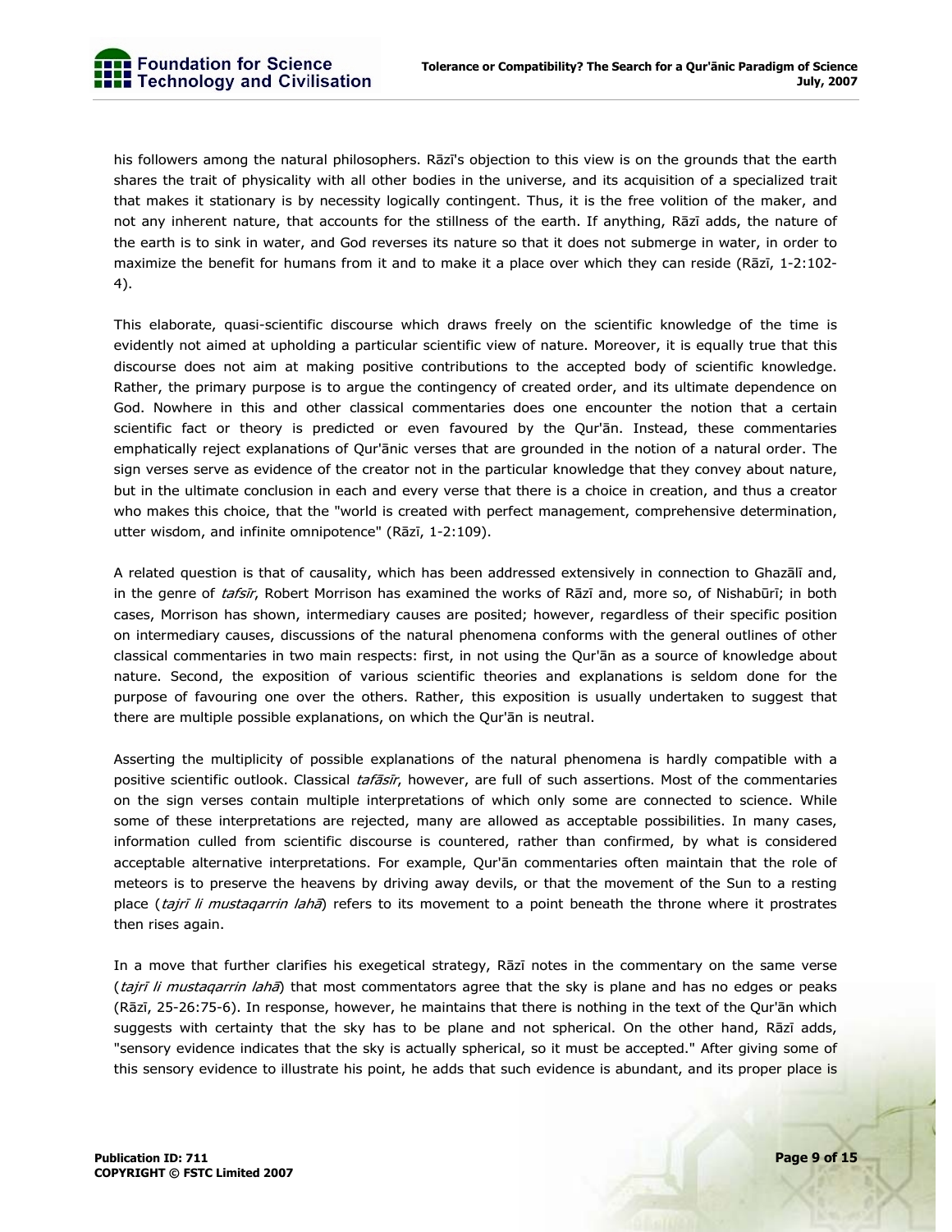his followers among the natural philosophers. Rāzī's objection to this view is on the grounds that the earth shares the trait of physicality with all other bodies in the universe, and its acquisition of a specialized trait that makes it stationary is by necessity logically contingent. Thus, it is the free volition of the maker, and not any inherent nature, that accounts for the stillness of the earth. If anything, Rāzī adds, the nature of the earth is to sink in water, and God reverses its nature so that it does not submerge in water, in order to maximize the benefit for humans from it and to make it a place over which they can reside (Rāzī, 1-2:102- 4).

This elaborate, quasi-scientific discourse which draws freely on the scientific knowledge of the time is evidently not aimed at upholding a particular scientific view of nature. Moreover, it is equally true that this discourse does not aim at making positive contributions to the accepted body of scientific knowledge. Rather, the primary purpose is to argue the contingency of created order, and its ultimate dependence on God. Nowhere in this and other classical commentaries does one encounter the notion that a certain scientific fact or theory is predicted or even favoured by the Qur'ān. Instead, these commentaries emphatically reject explanations of Qur'ānic verses that are grounded in the notion of a natural order. The sign verses serve as evidence of the creator not in the particular knowledge that they convey about nature, but in the ultimate conclusion in each and every verse that there is a choice in creation, and thus a creator who makes this choice, that the "world is created with perfect management, comprehensive determination, utter wisdom, and infinite omnipotence" (Rāzī, 1-2:109).

A related question is that of causality, which has been addressed extensively in connection to Ghazālī and, in the genre of tafsir, Robert Morrison has examined the works of Rāzī and, more so, of Nishabūrī; in both cases, Morrison has shown, intermediary causes are posited; however, regardless of their specific position on intermediary causes, discussions of the natural phenomena conforms with the general outlines of other classical commentaries in two main respects: first, in not using the Qur'ān as a source of knowledge about nature. Second, the exposition of various scientific theories and explanations is seldom done for the purpose of favouring one over the others. Rather, this exposition is usually undertaken to suggest that there are multiple possible explanations, on which the Qur'ān is neutral.

Asserting the multiplicity of possible explanations of the natural phenomena is hardly compatible with a positive scientific outlook. Classical tafāsīr, however, are full of such assertions. Most of the commentaries on the sign verses contain multiple interpretations of which only some are connected to science. While some of these interpretations are rejected, many are allowed as acceptable possibilities. In many cases, information culled from scientific discourse is countered, rather than confirmed, by what is considered acceptable alternative interpretations. For example, Qur'ān commentaries often maintain that the role of meteors is to preserve the heavens by driving away devils, or that the movement of the Sun to a resting place (tajrī li mustaqarrin lahā) refers to its movement to a point beneath the throne where it prostrates then rises again.

In a move that further clarifies his exegetical strategy, Rāzī notes in the commentary on the same verse (tajrī li mustagarrin lahā) that most commentators agree that the sky is plane and has no edges or peaks (Rāzī, 25-26:75-6). In response, however, he maintains that there is nothing in the text of the Qur'ān which suggests with certainty that the sky has to be plane and not spherical. On the other hand, Rāzī adds, "sensory evidence indicates that the sky is actually spherical, so it must be accepted." After giving some of this sensory evidence to illustrate his point, he adds that such evidence is abundant, and its proper place is

**Example 20 Foundation for Science** <mark>≣≣≣</mark> Technology and Civilisation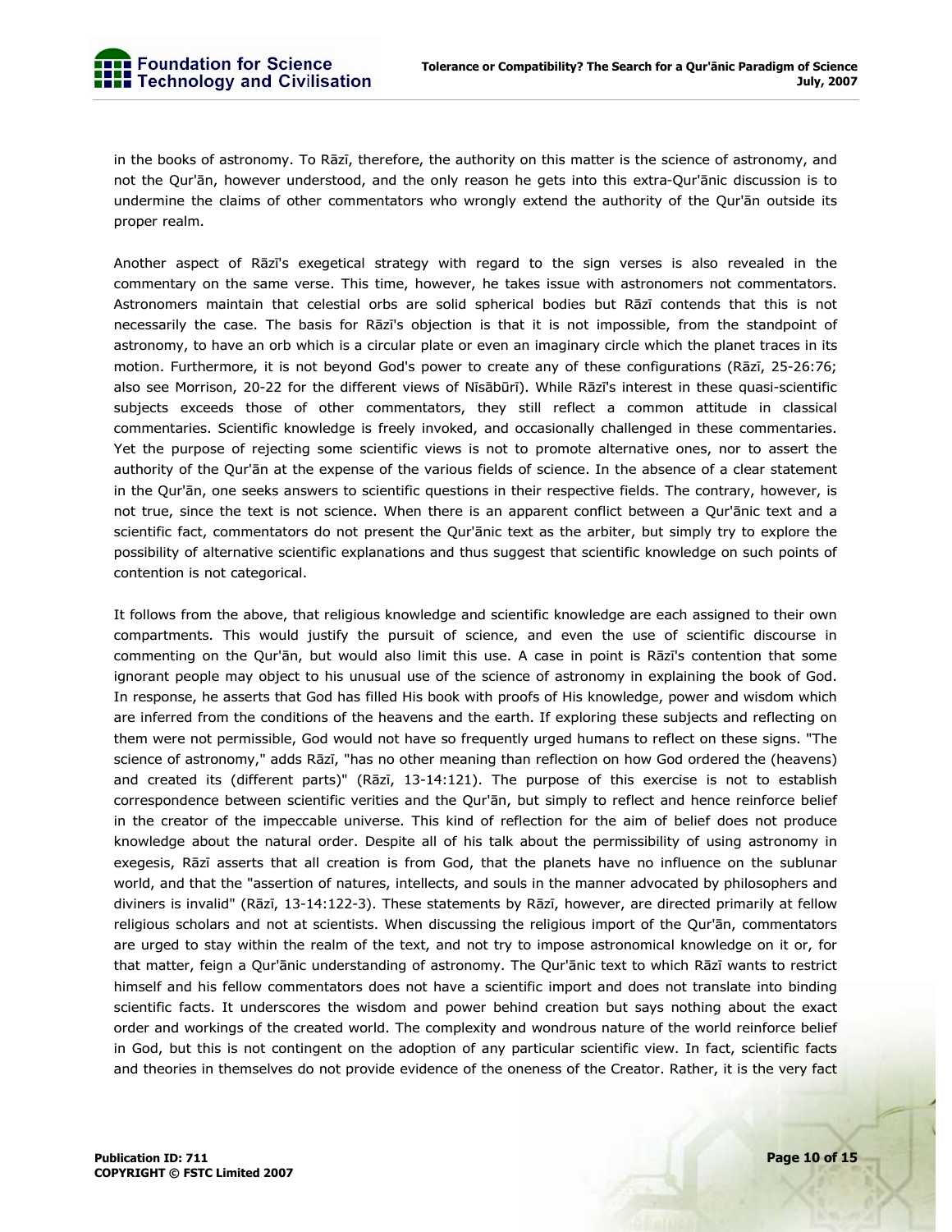

in the books of astronomy. To Rāzī, therefore, the authority on this matter is the science of astronomy, and not the Qur'ān, however understood, and the only reason he gets into this extra-Qur'ānic discussion is to undermine the claims of other commentators who wrongly extend the authority of the Qur'ān outside its proper realm.

Another aspect of Rāzī's exegetical strategy with regard to the sign verses is also revealed in the commentary on the same verse. This time, however, he takes issue with astronomers not commentators. Astronomers maintain that celestial orbs are solid spherical bodies but Rāzī contends that this is not necessarily the case. The basis for Rāzī's objection is that it is not impossible, from the standpoint of astronomy, to have an orb which is a circular plate or even an imaginary circle which the planet traces in its motion. Furthermore, it is not beyond God's power to create any of these configurations (Rāzī, 25-26:76; also see Morrison, 20-22 for the different views of Nīsābūrī). While Rāzī's interest in these quasi-scientific subjects exceeds those of other commentators, they still reflect a common attitude in classical commentaries. Scientific knowledge is freely invoked, and occasionally challenged in these commentaries. Yet the purpose of rejecting some scientific views is not to promote alternative ones, nor to assert the authority of the Qur'ān at the expense of the various fields of science. In the absence of a clear statement in the Qur'ān, one seeks answers to scientific questions in their respective fields. The contrary, however, is not true, since the text is not science. When there is an apparent conflict between a Qur'ānic text and a scientific fact, commentators do not present the Qur'ānic text as the arbiter, but simply try to explore the possibility of alternative scientific explanations and thus suggest that scientific knowledge on such points of contention is not categorical.

It follows from the above, that religious knowledge and scientific knowledge are each assigned to their own compartments. This would justify the pursuit of science, and even the use of scientific discourse in commenting on the Qur'ān, but would also limit this use. A case in point is Rāzī's contention that some ignorant people may object to his unusual use of the science of astronomy in explaining the book of God. In response, he asserts that God has filled His book with proofs of His knowledge, power and wisdom which are inferred from the conditions of the heavens and the earth. If exploring these subjects and reflecting on them were not permissible, God would not have so frequently urged humans to reflect on these signs. "The science of astronomy," adds Rāzī, "has no other meaning than reflection on how God ordered the (heavens) and created its (different parts)" (Rāzī, 13-14:121). The purpose of this exercise is not to establish correspondence between scientific verities and the Qur'ān, but simply to reflect and hence reinforce belief in the creator of the impeccable universe. This kind of reflection for the aim of belief does not produce knowledge about the natural order. Despite all of his talk about the permissibility of using astronomy in exegesis, Rāzī asserts that all creation is from God, that the planets have no influence on the sublunar world, and that the "assertion of natures, intellects, and souls in the manner advocated by philosophers and diviners is invalid" (Rāzī, 13-14:122-3). These statements by Rāzī, however, are directed primarily at fellow religious scholars and not at scientists. When discussing the religious import of the Qur'ān, commentators are urged to stay within the realm of the text, and not try to impose astronomical knowledge on it or, for that matter, feign a Qur'ānic understanding of astronomy. The Qur'ānic text to which Rāzī wants to restrict himself and his fellow commentators does not have a scientific import and does not translate into binding scientific facts. It underscores the wisdom and power behind creation but says nothing about the exact order and workings of the created world. The complexity and wondrous nature of the world reinforce belief in God, but this is not contingent on the adoption of any particular scientific view. In fact, scientific facts and theories in themselves do not provide evidence of the oneness of the Creator. Rather, it is the very fact

**July, 2007**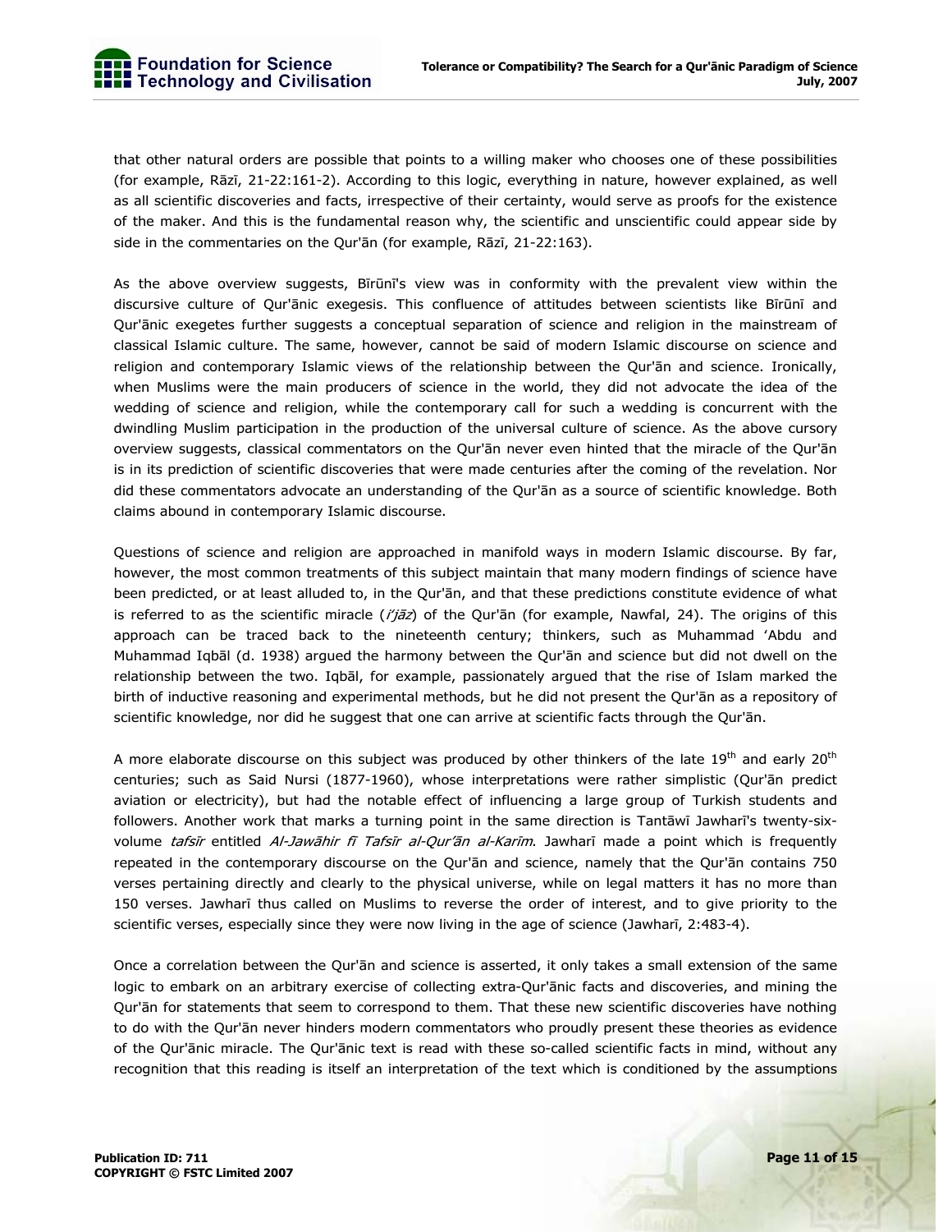

that other natural orders are possible that points to a willing maker who chooses one of these possibilities (for example, Rāzī, 21-22:161-2). According to this logic, everything in nature, however explained, as well as all scientific discoveries and facts, irrespective of their certainty, would serve as proofs for the existence of the maker. And this is the fundamental reason why, the scientific and unscientific could appear side by side in the commentaries on the Qur'ān (for example, Rāzī, 21-22:163).

As the above overview suggests, Bīrūnī's view was in conformity with the prevalent view within the discursive culture of Qur'ānic exegesis. This confluence of attitudes between scientists like Bīrūnī and Qur'ānic exegetes further suggests a conceptual separation of science and religion in the mainstream of classical Islamic culture. The same, however, cannot be said of modern Islamic discourse on science and religion and contemporary Islamic views of the relationship between the Qur'ān and science. Ironically, when Muslims were the main producers of science in the world, they did not advocate the idea of the wedding of science and religion, while the contemporary call for such a wedding is concurrent with the dwindling Muslim participation in the production of the universal culture of science. As the above cursory overview suggests, classical commentators on the Qur'ān never even hinted that the miracle of the Qur'ān is in its prediction of scientific discoveries that were made centuries after the coming of the revelation. Nor did these commentators advocate an understanding of the Qur'ān as a source of scientific knowledge. Both claims abound in contemporary Islamic discourse.

Questions of science and religion are approached in manifold ways in modern Islamic discourse. By far, however, the most common treatments of this subject maintain that many modern findings of science have been predicted, or at least alluded to, in the Qur'ān, and that these predictions constitute evidence of what is referred to as the scientific miracle  $(i'j\bar{a}z)$  of the Qur'ān (for example, Nawfal, 24). The origins of this approach can be traced back to the nineteenth century; thinkers, such as Muhammad 'Abdu and Muhammad Iqbāl (d. 1938) argued the harmony between the Qur'ān and science but did not dwell on the relationship between the two. Iqbāl, for example, passionately argued that the rise of Islam marked the birth of inductive reasoning and experimental methods, but he did not present the Qur'ān as a repository of scientific knowledge, nor did he suggest that one can arrive at scientific facts through the Qur'ān.

A more elaborate discourse on this subject was produced by other thinkers of the late  $19<sup>th</sup>$  and early 20<sup>th</sup> centuries; such as Said Nursi (1877-1960), whose interpretations were rather simplistic (Qur'ān predict aviation or electricity), but had the notable effect of influencing a large group of Turkish students and followers. Another work that marks a turning point in the same direction is Tantāwī Jawharī's twenty-sixvolume tafsīr entitled Al-Jawāhir fī Tafsīr al-Qur'ān al-Karīm. Jawharī made a point which is frequently repeated in the contemporary discourse on the Qur'ān and science, namely that the Qur'ān contains 750 verses pertaining directly and clearly to the physical universe, while on legal matters it has no more than 150 verses. Jawharī thus called on Muslims to reverse the order of interest, and to give priority to the scientific verses, especially since they were now living in the age of science (Jawharī, 2:483-4).

Once a correlation between the Qur'ān and science is asserted, it only takes a small extension of the same logic to embark on an arbitrary exercise of collecting extra-Qur'ānic facts and discoveries, and mining the Qur'ān for statements that seem to correspond to them. That these new scientific discoveries have nothing to do with the Qur'ān never hinders modern commentators who proudly present these theories as evidence of the Qur'ānic miracle. The Qur'ānic text is read with these so-called scientific facts in mind, without any recognition that this reading is itself an interpretation of the text which is conditioned by the assumptions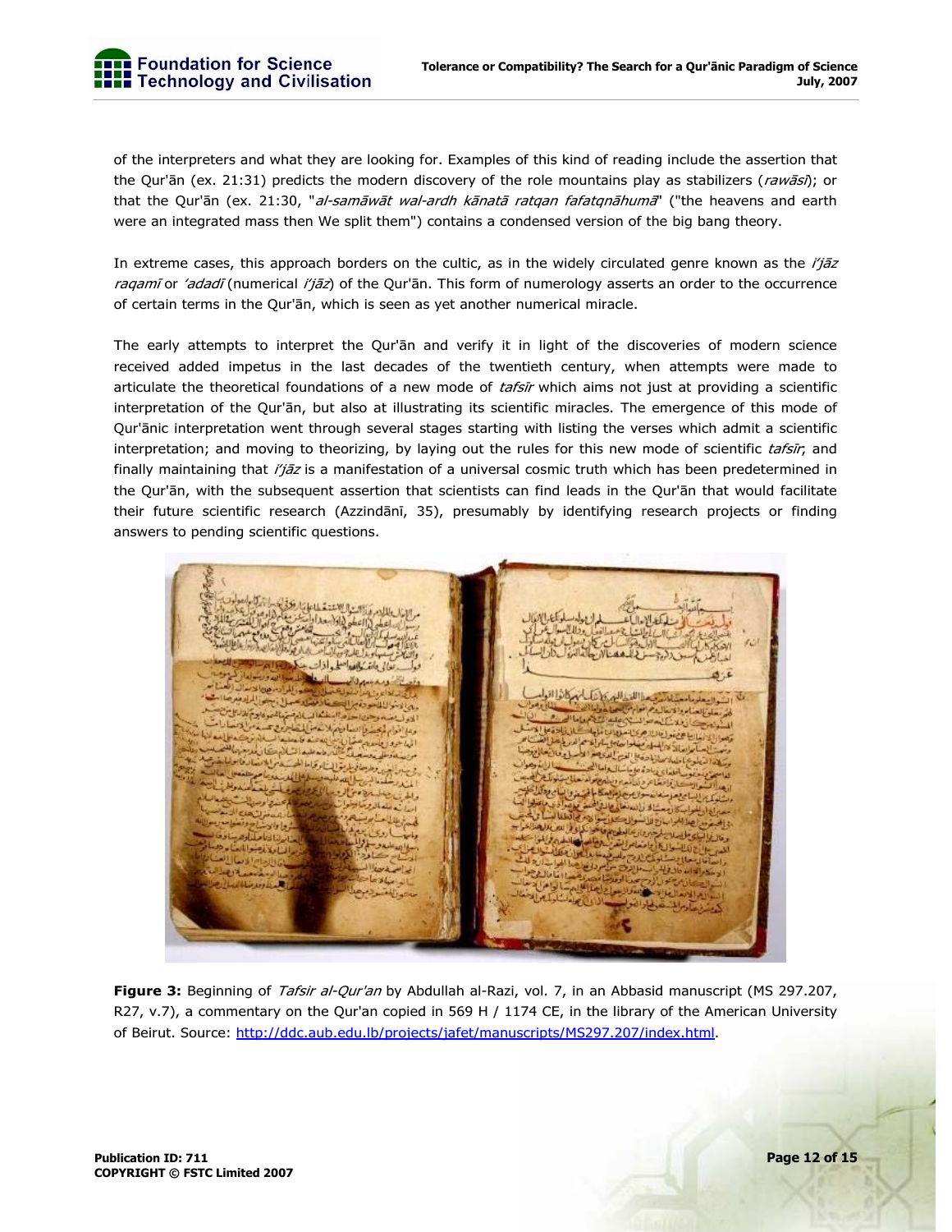of the interpreters and what they are looking for. Examples of this kind of reading include the assertion that the Qur'ān (ex. 21:31) predicts the modern discovery of the role mountains play as stabilizers (rawasi); or that the Qur'ān (ex. 21:30, "al-samāwāt wal-ardh kānatā ratgan fafatqnāhumā" ("the heavens and earth were an integrated mass then We split them") contains a condensed version of the big bang theory.

In extreme cases, this approach borders on the cultic, as in the widely circulated genre known as the ijaz raqamī or 'adadī (numerical i'jāz) of the Qur'ān. This form of numerology asserts an order to the occurrence of certain terms in the Qur'ān, which is seen as yet another numerical miracle.

The early attempts to interpret the Qur'ān and verify it in light of the discoveries of modern science received added impetus in the last decades of the twentieth century, when attempts were made to articulate the theoretical foundations of a new mode of tafsir which aims not just at providing a scientific interpretation of the Qur'ān, but also at illustrating its scientific miracles. The emergence of this mode of Qur'ānic interpretation went through several stages starting with listing the verses which admit a scientific interpretation; and moving to theorizing, by laying out the rules for this new mode of scientific tafsīr; and finally maintaining that ijaz is a manifestation of a universal cosmic truth which has been predetermined in the Qur'ān, with the subsequent assertion that scientists can find leads in the Qur'ān that would facilitate their future scientific research (Azzindānī, 35), presumably by identifying research projects or finding answers to pending scientific questions.



**Figure 3:** Beginning of Tafsir al-Qur'an by Abdullah al-Razi, vol. 7, in an Abbasid manuscript (MS 297.207, R27, v.7), a commentary on the Qur'an copied in 569 H / 1174 CE, in the library of the American University of Beirut. Source: http://ddc.aub.edu.lb/projects/jafet/manuscripts/MS297.207/index.html.

**Example 2 Foundation for Science** <mark>≣≣≣</mark> Technology and Civilisation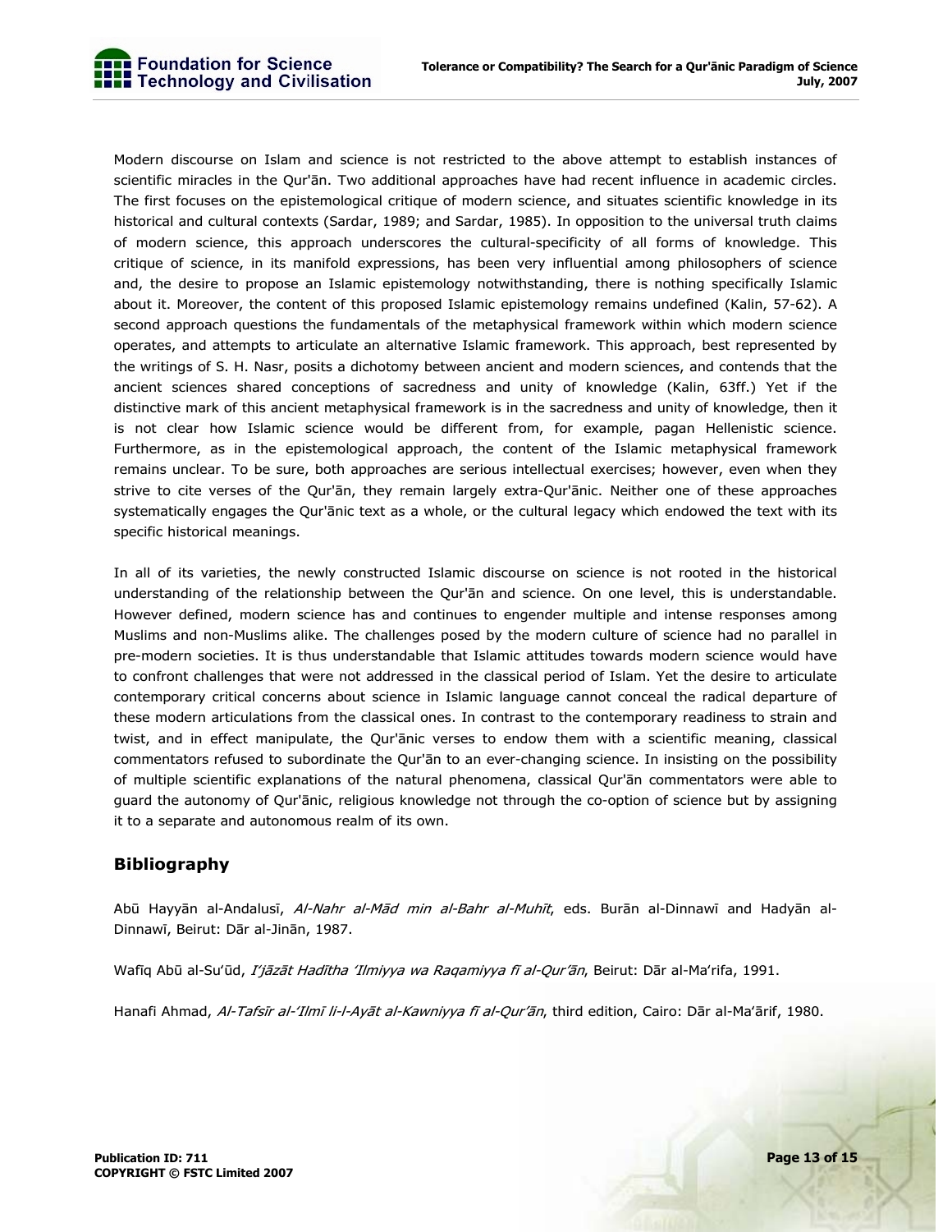

Modern discourse on Islam and science is not restricted to the above attempt to establish instances of scientific miracles in the Qur'ān. Two additional approaches have had recent influence in academic circles. The first focuses on the epistemological critique of modern science, and situates scientific knowledge in its historical and cultural contexts (Sardar, 1989; and Sardar, 1985). In opposition to the universal truth claims of modern science, this approach underscores the cultural-specificity of all forms of knowledge. This critique of science, in its manifold expressions, has been very influential among philosophers of science and, the desire to propose an Islamic epistemology notwithstanding, there is nothing specifically Islamic about it. Moreover, the content of this proposed Islamic epistemology remains undefined (Kalin, 57-62). A second approach questions the fundamentals of the metaphysical framework within which modern science operates, and attempts to articulate an alternative Islamic framework. This approach, best represented by the writings of S. H. Nasr, posits a dichotomy between ancient and modern sciences, and contends that the ancient sciences shared conceptions of sacredness and unity of knowledge (Kalin, 63ff.) Yet if the distinctive mark of this ancient metaphysical framework is in the sacredness and unity of knowledge, then it is not clear how Islamic science would be different from, for example, pagan Hellenistic science. Furthermore, as in the epistemological approach, the content of the Islamic metaphysical framework remains unclear. To be sure, both approaches are serious intellectual exercises; however, even when they strive to cite verses of the Qur'ān, they remain largely extra-Qur'ānic. Neither one of these approaches systematically engages the Qur'ānic text as a whole, or the cultural legacy which endowed the text with its specific historical meanings.

In all of its varieties, the newly constructed Islamic discourse on science is not rooted in the historical understanding of the relationship between the Qur'ān and science. On one level, this is understandable. However defined, modern science has and continues to engender multiple and intense responses among Muslims and non-Muslims alike. The challenges posed by the modern culture of science had no parallel in pre-modern societies. It is thus understandable that Islamic attitudes towards modern science would have to confront challenges that were not addressed in the classical period of Islam. Yet the desire to articulate contemporary critical concerns about science in Islamic language cannot conceal the radical departure of these modern articulations from the classical ones. In contrast to the contemporary readiness to strain and twist, and in effect manipulate, the Qur'ānic verses to endow them with a scientific meaning, classical commentators refused to subordinate the Qur'ān to an ever-changing science. In insisting on the possibility of multiple scientific explanations of the natural phenomena, classical Qur'ān commentators were able to guard the autonomy of Qur'ānic, religious knowledge not through the co-option of science but by assigning it to a separate and autonomous realm of its own.

### **Bibliography**

Abū Hayyān al-Andalusī, Al-Nahr al-Mād min al-Bahr al-Muhīt, eds. Burān al-Dinnawī and Hadyān al-Dinnawī, Beirut: Dār al-Jinān, 1987.

Wafīq Abū al-Su'ūd, I'jāzāt Hadītha 'Ilmiyya wa Raqamiyya fī al-Qur'ān, Beirut: Dār al-Ma'rifa, 1991.

Hanafi Ahmad, Al-Tafsīr al-'Ilmī li-l-Ayāt al-Kawniyya fī al-Qur'ān, third edition, Cairo: Dār al-Ma'ārif, 1980.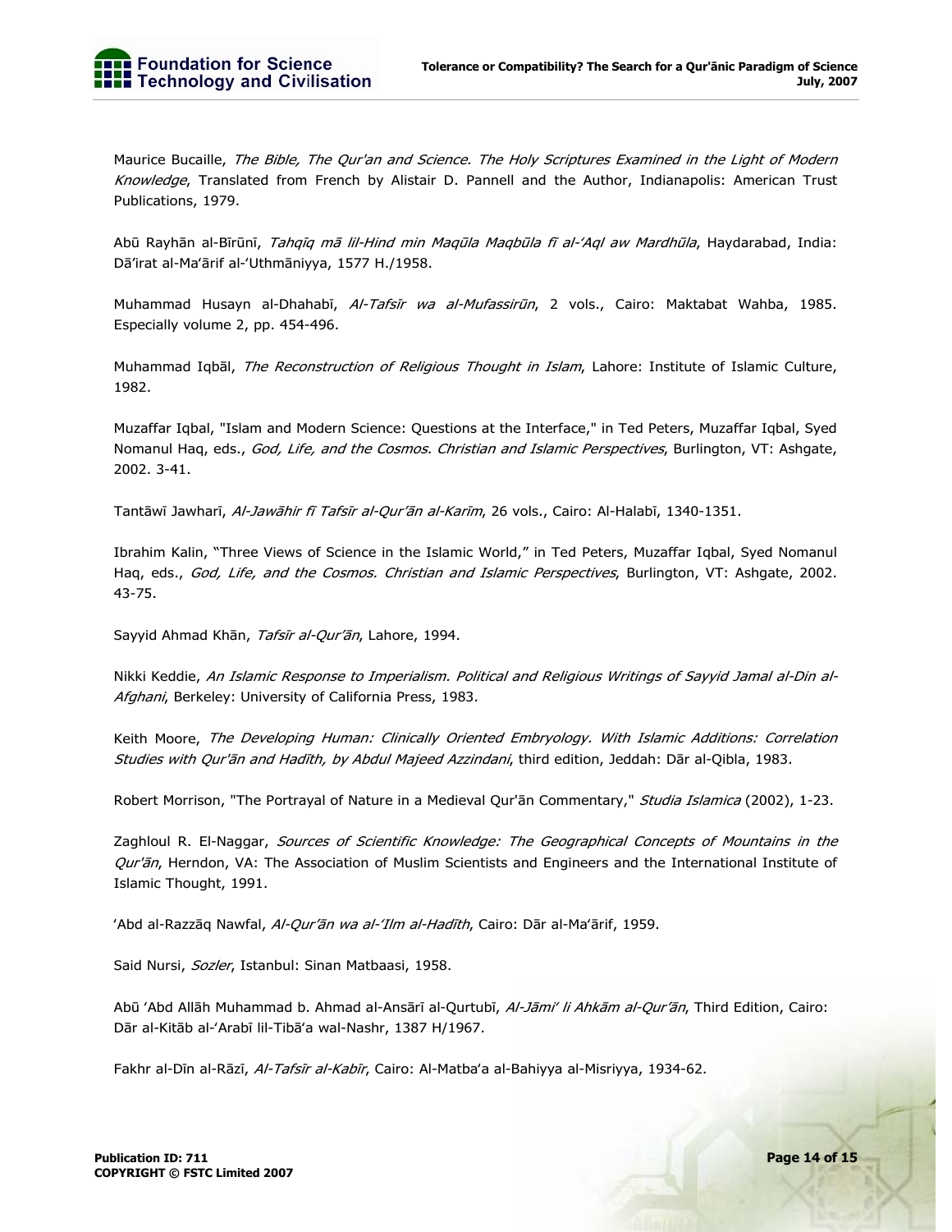Maurice Bucaille, The Bible, The Qur'an and Science. The Holy Scriptures Examined in the Light of Modern Knowledge, Translated from French by Alistair D. Pannell and the Author, Indianapolis: American Trust Publications, 1979.

Abū Rayhān al-Bīrūnī, *Tahqīq mā lil-Hind min Maqūla Maqbūla fī al-'Aql aw Mardhūla*, Haydarabad, India: Dā'irat al-Ma'ārif al-'Uthmāniyya, 1577 H./1958.

Muhammad Husayn al-Dhahabī, Al-Tafsīr wa al-Mufassirūn, 2 vols., Cairo: Maktabat Wahba, 1985. Especially volume 2, pp. 454-496.

Muhammad Iqbāl, The Reconstruction of Religious Thought in Islam, Lahore: Institute of Islamic Culture, 1982.

Muzaffar Iqbal, "Islam and Modern Science: Questions at the Interface," in Ted Peters, Muzaffar Iqbal, Syed Nomanul Haq, eds., God, Life, and the Cosmos. Christian and Islamic Perspectives, Burlington, VT: Ashgate, 2002. 3-41.

Tantāwī Jawharī, Al-Jawāhir fī Tafsīr al-Qur'ān al-Karīm, 26 vols., Cairo: Al-Halabī, 1340-1351.

Ibrahim Kalin, "Three Views of Science in the Islamic World," in Ted Peters, Muzaffar Iqbal, Syed Nomanul Haq, eds., God, Life, and the Cosmos. Christian and Islamic Perspectives, Burlington, VT: Ashgate, 2002. 43-75.

Sayyid Ahmad Khān, Tafsīr al-Qur'ān, Lahore, 1994.

Nikki Keddie, An Islamic Response to Imperialism. Political and Religious Writings of Sayyid Jamal al-Din al-Afghani, Berkeley: University of California Press, 1983.

Keith Moore, The Developing Human: Clinically Oriented Embryology. With Islamic Additions: Correlation Studies with Qur'ān and Hadīth, by Abdul Majeed Azzindani, third edition, Jeddah: Dār al-Qibla, 1983.

Robert Morrison, "The Portrayal of Nature in a Medieval Qur'ān Commentary," Studia Islamica (2002), 1-23.

Zaghloul R. El-Naggar, Sources of Scientific Knowledge: The Geographical Concepts of Mountains in the Qur'ān, Herndon, VA: The Association of Muslim Scientists and Engineers and the International Institute of Islamic Thought, 1991.

'Abd al-Razzāq Nawfal, Al-Qur'ān wa al-'Ilm al-Hadīth, Cairo: Dār al-Ma'ārif, 1959.

Said Nursi, Sozler, Istanbul: Sinan Matbaasi, 1958.

Abū 'Abd Allāh Muhammad b. Ahmad al-Ansārī al-Qurtubī, Al-Jāmi' li Ahkām al-Qur'ān, Third Edition, Cairo: Dār al-Kitāb al-'Arabī lil-Tibā'a wal-Nashr, 1387 H/1967.

Fakhr al-Dīn al-Rāzī, Al-Tafsīr al-Kabīr, Cairo: Al-Matba'a al-Bahiyya al-Misriyya, 1934-62.